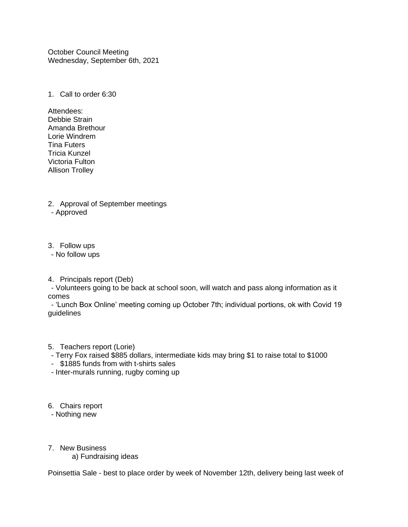October Council Meeting Wednesday, September 6th, 2021

1. Call to order 6:30

- Attendees: Debbie Strain Amanda Brethour Lorie Windrem Tina Futers Tricia Kunzel Victoria Fulton Allison Trolley
- 2. Approval of September meetings - Approved
- 3. Follow ups
- No follow ups
- 4. Principals report (Deb)

- Volunteers going to be back at school soon, will watch and pass along information as it comes

- 'Lunch Box Online' meeting coming up October 7th; individual portions, ok with Covid 19 guidelines

- 5. Teachers report (Lorie)
- Terry Fox raised \$885 dollars, intermediate kids may bring \$1 to raise total to \$1000
- \$1885 funds from with t-shirts sales
- Inter-murals running, rugby coming up
- 6. Chairs report

- Nothing new

7. New Business

a) Fundraising ideas

Poinsettia Sale - best to place order by week of November 12th, delivery being last week of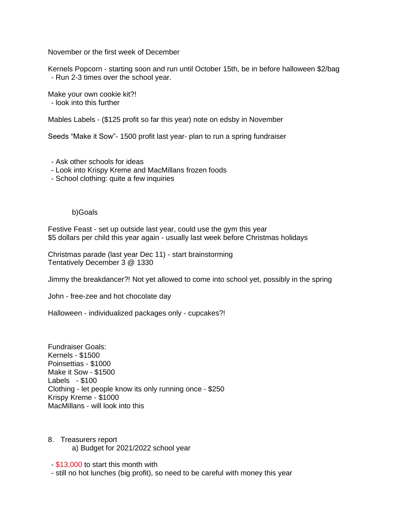November or the first week of December

Kernels Popcorn - starting soon and run until October 15th, be in before halloween \$2/bag - Run 2-3 times over the school year.

Make your own cookie kit?! - look into this further

Mables Labels - (\$125 profit so far this year) note on edsby in November

Seeds "Make it Sow"- 1500 profit last year- plan to run a spring fundraiser

- Ask other schools for ideas

- Look into Krispy Kreme and MacMillans frozen foods
- School clothing: quite a few inquiries

b)Goals

Festive Feast - set up outside last year, could use the gym this year \$5 dollars per child this year again - usually last week before Christmas holidays

Christmas parade (last year Dec 11) - start brainstorming Tentatively December 3 @ 1330

Jimmy the breakdancer?! Not yet allowed to come into school yet, possibly in the spring

John - free-zee and hot chocolate day

Halloween - individualized packages only - cupcakes?!

Fundraiser Goals: Kernels - \$1500 Poinsettias - \$1000 Make it Sow - \$1500 Labels - \$100 Clothing - let people know its only running once - \$250 Krispy Kreme - \$1000 MacMillans - will look into this

8. Treasurers report a) Budget for 2021/2022 school year

- \$13,000 to start this month with

- still no hot lunches (big profit), so need to be careful with money this year